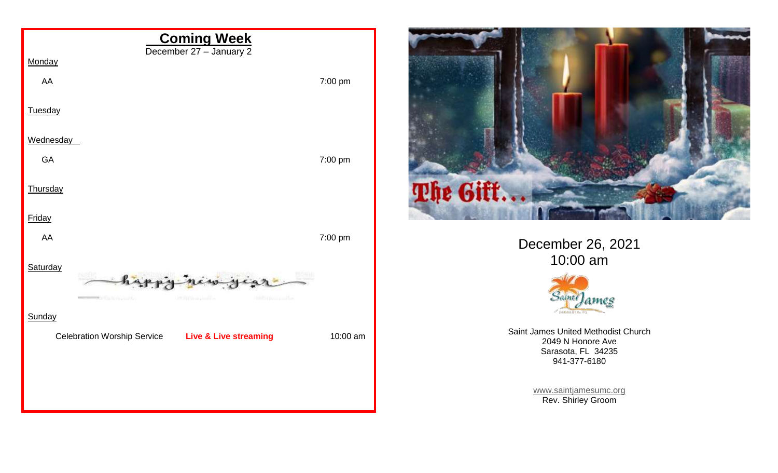



December 26, 2021 10:00 am



Saint James United Methodist Church 2049 N Honore Ave Sarasota, FL 34235 941-377-6180

> [www.saintjamesumc.org](http://www.saintjamesumc.org/) Rev. Shirley Groom